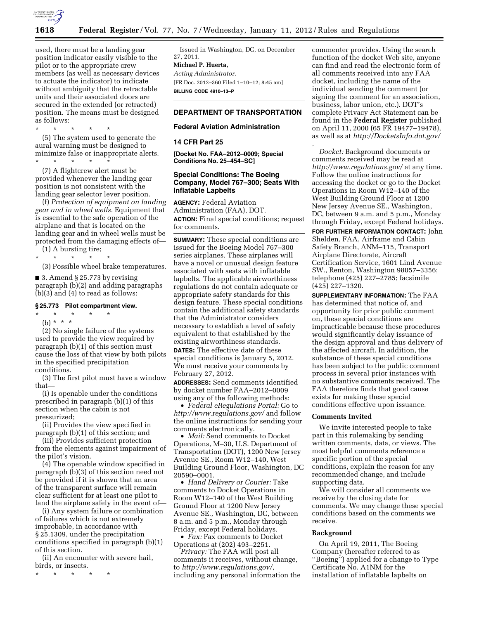

used, there must be a landing gear position indicator easily visible to the pilot or to the appropriate crew members (as well as necessary devices to actuate the indicator) to indicate without ambiguity that the retractable units and their associated doors are secured in the extended (or retracted) position. The means must be designed as follows:

\* \* \* \* \* (5) The system used to generate the aural warning must be designed to minimize false or inappropriate alerts. \* \* \* \* \*

(7) A flightcrew alert must be provided whenever the landing gear position is not consistent with the landing gear selector lever position.

(f) *Protection of equipment on landing gear and in wheel wells.* Equipment that is essential to the safe operation of the airplane and that is located on the landing gear and in wheel wells must be protected from the damaging effects of—

(1) A bursting tire; \* \* \* \* \*

(3) Possible wheel brake temperatures.

■ 3. Amend § 25.773 by revising paragraph (b)(2) and adding paragraphs (b)(3) and (4) to read as follows:

#### **§ 25.773 Pilot compartment view.**

\* \* \* \* \*

(b) \* \* \* (2) No single failure of the systems used to provide the view required by paragraph (b)(1) of this section must cause the loss of that view by both pilots in the specified precipitation conditions.

(3) The first pilot must have a window that—

(i) Is openable under the conditions prescribed in paragraph (b)(1) of this section when the cabin is not pressurized;

(ii) Provides the view specified in paragraph (b)(1) of this section; and

(iii) Provides sufficient protection from the elements against impairment of the pilot's vision.

(4) The openable window specified in paragraph (b)(3) of this section need not be provided if it is shown that an area of the transparent surface will remain clear sufficient for at least one pilot to land the airplane safely in the event of—

(i) Any system failure or combination of failures which is not extremely improbable, in accordance with § 25.1309, under the precipitation conditions specified in paragraph (b)(1) of this section.

(ii) An encounter with severe hail, birds, or insects.

\* \* \* \* \*

Issued in Washington, DC, on December 27, 2011.

# **Michael P. Huerta,**

*Acting Administrator.*  [FR Doc. 2012–360 Filed 1–10–12; 8:45 am] **BILLING CODE 4910–13–P** 

# **DEPARTMENT OF TRANSPORTATION**

#### **Federal Aviation Administration**

### **14 CFR Part 25**

**[Docket No. FAA–2012–0009; Special Conditions No. 25–454–SC]** 

# **Special Conditions: The Boeing Company, Model 767–300; Seats With Inflatable Lapbelts**

**AGENCY:** Federal Aviation Administration (FAA), DOT. **ACTION:** Final special conditions; request for comments.

**SUMMARY:** These special conditions are issued for the Boeing Model 767–300 series airplanes. These airplanes will have a novel or unusual design feature associated with seats with inflatable lapbelts. The applicable airworthiness regulations do not contain adequate or appropriate safety standards for this design feature. These special conditions contain the additional safety standards that the Administrator considers necessary to establish a level of safety equivalent to that established by the existing airworthiness standards.

**DATES:** The effective date of these special conditions is January 5, 2012. We must receive your comments by February 27, 2012.

**ADDRESSES:** Send comments identified by docket number FAA–2012–0009 using any of the following methods:

• *Federal eRegulations Portal:* Go to *<http://www.regulations.gov/>*and follow the online instructions for sending your comments electronically.

• *Mail:* Send comments to Docket Operations, M–30, U.S. Department of Transportation (DOT), 1200 New Jersey Avenue SE., Room W12–140, West Building Ground Floor, Washington, DC 20590–0001.

• *Hand Delivery or Courier:* Take comments to Docket Operations in Room W12–140 of the West Building Ground Floor at 1200 New Jersey Avenue SE., Washington, DC, between 8 a.m. and 5 p.m., Monday through Friday, except Federal holidays.

• *Fax:* Fax comments to Docket Operations at (202) 493–2251.

*Privacy:* The FAA will post all comments it receives, without change, to *<http://www.regulations.gov/>*, including any personal information the

commenter provides. Using the search function of the docket Web site, anyone can find and read the electronic form of all comments received into any FAA docket, including the name of the individual sending the comment (or signing the comment for an association, business, labor union, etc.). DOT's complete Privacy Act Statement can be found in the **Federal Register** published on April 11, 2000 (65 FR 19477–19478), as well as at *<http://DocketsInfo.dot.gov/>* 

*Docket:* Background documents or comments received may be read at *<http://www.regulations.gov/>*at any time. Follow the online instructions for accessing the docket or go to the Docket Operations in Room W12–140 of the West Building Ground Floor at 1200 New Jersey Avenue SE., Washington, DC, between 9 a.m. and 5 p.m., Monday through Friday, except Federal holidays.

*.* 

**FOR FURTHER INFORMATION CONTACT:** John Shelden, FAA, Airframe and Cabin Safety Branch, ANM–115, Transport Airplane Directorate, Aircraft Certification Service, 1601 Lind Avenue SW., Renton, Washington 98057–3356; telephone (425) 227–2785; facsimile (425) 227–1320.

**SUPPLEMENTARY INFORMATION:** The FAA has determined that notice of, and opportunity for prior public comment on, these special conditions are impracticable because these procedures would significantly delay issuance of the design approval and thus delivery of the affected aircraft. In addition, the substance of these special conditions has been subject to the public comment process in several prior instances with no substantive comments received. The FAA therefore finds that good cause exists for making these special conditions effective upon issuance.

#### **Comments Invited**

We invite interested people to take part in this rulemaking by sending written comments, data, or views. The most helpful comments reference a specific portion of the special conditions, explain the reason for any recommended change, and include supporting data.

We will consider all comments we receive by the closing date for comments. We may change these special conditions based on the comments we receive.

#### **Background**

On April 19, 2011, The Boeing Company (hereafter referred to as ''Boeing'') applied for a change to Type Certificate No. A1NM for the installation of inflatable lapbelts on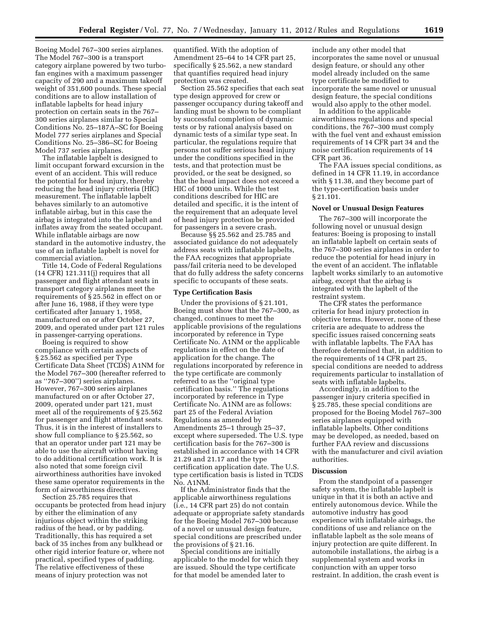Boeing Model 767–300 series airplanes. The Model 767–300 is a transport category airplane powered by two turbofan engines with a maximum passenger capacity of 290 and a maximum takeoff weight of 351,600 pounds. These special conditions are to allow installation of inflatable lapbelts for head injury protection on certain seats in the 767– 300 series airplanes similar to Special Conditions No. 25–187A–SC for Boeing Model 777 series airplanes and Special Conditions No. 25–386–SC for Boeing Model 737 series airplanes.

The inflatable lapbelt is designed to limit occupant forward excursion in the event of an accident. This will reduce the potential for head injury, thereby reducing the head injury criteria (HIC) measurement. The inflatable lapbelt behaves similarly to an automotive inflatable airbag, but in this case the airbag is integrated into the lapbelt and inflates away from the seated occupant. While inflatable airbags are now standard in the automotive industry, the use of an inflatable lapbelt is novel for commercial aviation.

Title 14, Code of Federal Regulations (14 CFR) 121.311(j) requires that all passenger and flight attendant seats in transport category airplanes meet the requirements of § 25.562 in effect on or after June 16, 1988, if they were type certificated after January 1, 1958, manufactured on or after October 27, 2009, and operated under part 121 rules in passenger-carrying operations.

Boeing is required to show compliance with certain aspects of § 25.562 as specified per Type Certificate Data Sheet (TCDS) A1NM for the Model 767–300 (hereafter referred to as ''767–300'') series airplanes. However, 767–300 series airplanes manufactured on or after October 27, 2009, operated under part 121, must meet all of the requirements of § 25.562 for passenger and flight attendant seats. Thus, it is in the interest of installers to show full compliance to § 25.562, so that an operator under part 121 may be able to use the aircraft without having to do additional certification work. It is also noted that some foreign civil airworthiness authorities have invoked these same operator requirements in the form of airworthiness directives.

Section 25.785 requires that occupants be protected from head injury by either the elimination of any injurious object within the striking radius of the head, or by padding. Traditionally, this has required a set back of 35 inches from any bulkhead or other rigid interior feature or, where not practical, specified types of padding. The relative effectiveness of these means of injury protection was not

quantified. With the adoption of Amendment 25–64 to 14 CFR part 25, specifically § 25.562, a new standard that quantifies required head injury protection was created.

Section 25.562 specifies that each seat type design approved for crew or passenger occupancy during takeoff and landing must be shown to be compliant by successful completion of dynamic tests or by rational analysis based on dynamic tests of a similar type seat. In particular, the regulations require that persons not suffer serious head injury under the conditions specified in the tests, and that protection must be provided, or the seat be designed, so that the head impact does not exceed a HIC of 1000 units. While the test conditions described for HIC are detailed and specific, it is the intent of the requirement that an adequate level of head injury protection be provided for passengers in a severe crash.

Because §§ 25.562 and 25.785 and associated guidance do not adequately address seats with inflatable lapbelts, the FAA recognizes that appropriate pass/fail criteria need to be developed that do fully address the safety concerns specific to occupants of these seats.

#### **Type Certification Basis**

Under the provisions of § 21.101, Boeing must show that the 767–300, as changed, continues to meet the applicable provisions of the regulations incorporated by reference in Type Certificate No. A1NM or the applicable regulations in effect on the date of application for the change. The regulations incorporated by reference in the type certificate are commonly referred to as the ''original type certification basis.'' The regulations incorporated by reference in Type Certificate No. A1NM are as follows: part 25 of the Federal Aviation Regulations as amended by Amendments 25–1 through 25–37, except where superseded. The U.S. type certification basis for the 767–300 is established in accordance with 14 CFR 21.29 and 21.17 and the type certification application date. The U.S. type certification basis is listed in TCDS No. A1NM.

If the Administrator finds that the applicable airworthiness regulations (i.e., 14 CFR part 25) do not contain adequate or appropriate safety standards for the Boeing Model 767–300 because of a novel or unusual design feature, special conditions are prescribed under the provisions of § 21.16.

Special conditions are initially applicable to the model for which they are issued. Should the type certificate for that model be amended later to

include any other model that incorporates the same novel or unusual design feature, or should any other model already included on the same type certificate be modified to incorporate the same novel or unusual design feature, the special conditions would also apply to the other model.

In addition to the applicable airworthiness regulations and special conditions, the 767–300 must comply with the fuel vent and exhaust emission requirements of 14 CFR part 34 and the noise certification requirements of 14 CFR part 36.

The FAA issues special conditions, as defined in 14 CFR 11.19, in accordance with § 11.38, and they become part of the type-certification basis under § 21.101.

### **Novel or Unusual Design Features**

The 767–300 will incorporate the following novel or unusual design features: Boeing is proposing to install an inflatable lapbelt on certain seats of the 767–300 series airplanes in order to reduce the potential for head injury in the event of an accident. The inflatable lapbelt works similarly to an automotive airbag, except that the airbag is integrated with the lapbelt of the restraint system.

The CFR states the performance criteria for head injury protection in objective terms. However, none of these criteria are adequate to address the specific issues raised concerning seats with inflatable lapbelts. The FAA has therefore determined that, in addition to the requirements of 14 CFR part 25, special conditions are needed to address requirements particular to installation of seats with inflatable lapbelts.

Accordingly, in addition to the passenger injury criteria specified in § 25.785, these special conditions are proposed for the Boeing Model 767–300 series airplanes equipped with inflatable lapbelts. Other conditions may be developed, as needed, based on further FAA review and discussions with the manufacturer and civil aviation authorities.

#### **Discussion**

From the standpoint of a passenger safety system, the inflatable lapbelt is unique in that it is both an active and entirely autonomous device. While the automotive industry has good experience with inflatable airbags, the conditions of use and reliance on the inflatable lapbelt as the sole means of injury protection are quite different. In automobile installations, the airbag is a supplemental system and works in conjunction with an upper torso restraint. In addition, the crash event is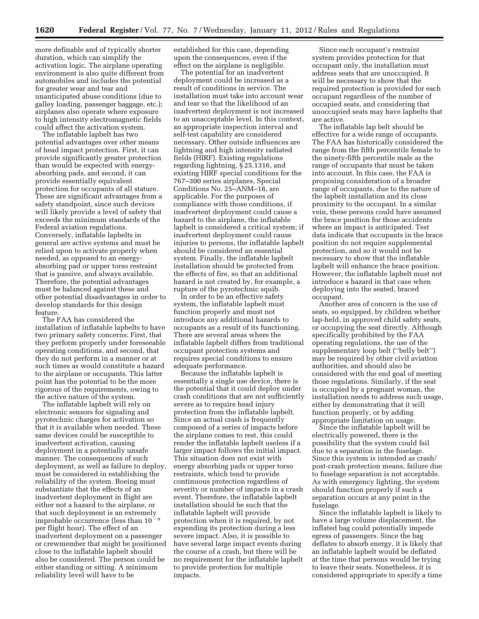more definable and of typically shorter duration, which can simplify the activation logic. The airplane operating environment is also quite different from automobiles and includes the potential for greater wear and tear and unanticipated abuse conditions (due to galley loading, passenger baggage, etc.); airplanes also operate where exposure to high intensity electromagnetic fields could affect the activation system.

The inflatable lapbelt has two potential advantages over other means of head impact protection. First, it can provide significantly greater protection than would be expected with energyabsorbing pads, and second, it can provide essentially equivalent protection for occupants of all stature. These are significant advantages from a safety standpoint, since such devices will likely provide a level of safety that exceeds the minimum standards of the Federal aviation regulations. Conversely, inflatable lapbelts in general are active systems and must be relied upon to activate properly when needed, as opposed to an energyabsorbing pad or upper torso restraint that is passive, and always available. Therefore, the potential advantages must be balanced against these and other potential disadvantages in order to develop standards for this design feature.

The FAA has considered the installation of inflatable lapbelts to have two primary safety concerns: First, that they perform properly under foreseeable operating conditions, and second, that they do not perform in a manner or at such times as would constitute a hazard to the airplane or occupants. This latter point has the potential to be the more rigorous of the requirements, owing to the active nature of the system.

The inflatable lapbelt will rely on electronic sensors for signaling and pyrotechnic charges for activation so that it is available when needed. These same devices could be susceptible to inadvertent activation, causing deployment in a potentially unsafe manner. The consequences of such deployment, as well as failure to deploy, must be considered in establishing the reliability of the system. Boeing must substantiate that the effects of an inadvertent deployment in flight are either not a hazard to the airplane, or that such deployment is an extremely improbable occurrence (less than  $10^{-9}$ per flight hour). The effect of an inadvertent deployment on a passenger or crewmember that might be positioned close to the inflatable lapbelt should also be considered. The person could be either standing or sitting. A minimum reliability level will have to be

established for this case, depending upon the consequences, even if the effect on the airplane is negligible.

The potential for an inadvertent deployment could be increased as a result of conditions in service. The installation must take into account wear and tear so that the likelihood of an inadvertent deployment is not increased to an unacceptable level. In this context, an appropriate inspection interval and self-test capability are considered necessary. Other outside influences are lightning and high intensity radiated fields (HIRF). Existing regulations regarding lightning, § 25.1316, and existing HIRF special conditions for the 767–300 series airplanes, Special Conditions No. 25–ANM–18, are applicable. For the purposes of compliance with those conditions, if inadvertent deployment could cause a hazard to the airplane, the inflatable lapbelt is considered a critical system; if inadvertent deployment could cause injuries to persons, the inflatable lapbelt should be considered an essential system. Finally, the inflatable lapbelt installation should be protected from the effects of fire, so that an additional hazard is not created by, for example, a rupture of the pyrotechnic squib.

In order to be an effective safety system, the inflatable lapbelt must function properly and must not introduce any additional hazards to occupants as a result of its functioning. There are several areas where the inflatable lapbelt differs from traditional occupant protection systems and requires special conditions to ensure adequate performance.

Because the inflatable lapbelt is essentially a single use device, there is the potential that it could deploy under crash conditions that are not sufficiently severe as to require head injury protection from the inflatable lapbelt. Since an actual crash is frequently composed of a series of impacts before the airplane comes to rest, this could render the inflatable lapbelt useless if a larger impact follows the initial impact. This situation does not exist with energy absorbing pads or upper torso restraints, which tend to provide continuous protection regardless of severity or number of impacts in a crash event. Therefore, the inflatable lapbelt installation should be such that the inflatable lapbelt will provide protection when it is required, by not expending its protection during a less severe impact. Also, it is possible to have several large impact events during the course of a crash, but there will be no requirement for the inflatable lapbelt to provide protection for multiple impacts.

Since each occupant's restraint system provides protection for that occupant only, the installation must address seats that are unoccupied. It will be necessary to show that the required protection is provided for each occupant regardless of the number of occupied seats, and considering that unoccupied seats may have lapbelts that are active.

The inflatable lap belt should be effective for a wide range of occupants. The FAA has historically considered the range from the fifth percentile female to the ninety-fifth percentile male as the range of occupants that must be taken into account. In this case, the FAA is proposing consideration of a broader range of occupants, due to the nature of the lapbelt installation and its close proximity to the occupant. In a similar vein, these persons could have assumed the brace position for those accidents where an impact is anticipated. Test data indicate that occupants in the brace position do not require supplemental protection, and so it would not be necessary to show that the inflatable lapbelt will enhance the brace position. However, the inflatable lapbelt must not introduce a hazard in that case when deploying into the seated, braced occupant.

Another area of concern is the use of seats, so equipped, by children whether lap-held, in approved child safety seats, or occupying the seat directly. Although specifically prohibited by the FAA operating regulations, the use of the supplementary loop belt (''belly belt'') may be required by other civil aviation authorities, and should also be considered with the end goal of meeting those regulations. Similarly, if the seat is occupied by a pregnant woman, the installation needs to address such usage, either by demonstrating that it will function properly, or by adding appropriate limitation on usage.

Since the inflatable lapbelt will be electrically powered, there is the possibility that the system could fail due to a separation in the fuselage. Since this system is intended as crash/ post-crash protection means, failure due to fuselage separation is not acceptable. As with emergency lighting, the system should function properly if such a separation occurs at any point in the fuselage.

Since the inflatable lapbelt is likely to have a large volume displacement, the inflated bag could potentially impede egress of passengers. Since the bag deflates to absorb energy, it is likely that an inflatable lapbelt would be deflated at the time that persons would be trying to leave their seats. Nonetheless, it is considered appropriate to specify a time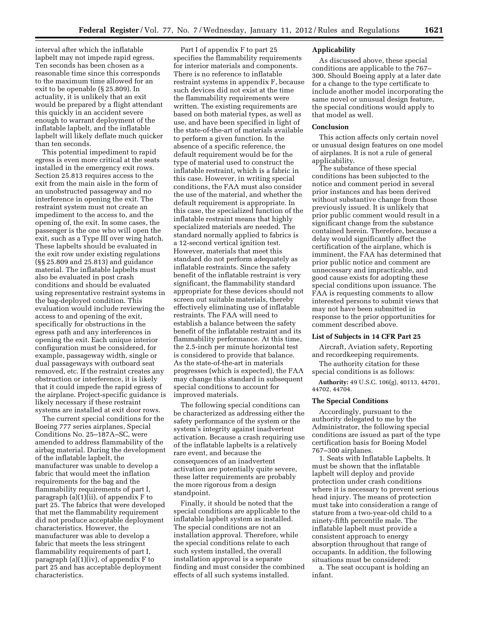interval after which the inflatable lapbelt may not impede rapid egress. Ten seconds has been chosen as a reasonable time since this corresponds to the maximum time allowed for an exit to be openable (§ 25.809). In actuality, it is unlikely that an exit would be prepared by a flight attendant this quickly in an accident severe enough to warrant deployment of the inflatable lapbelt, and the inflatable lapbelt will likely deflate much quicker than ten seconds.

This potential impediment to rapid egress is even more critical at the seats installed in the emergency exit rows. Section 25.813 requires access to the exit from the main aisle in the form of an unobstructed passageway and no interference in opening the exit. The restraint system must not create an impediment to the access to, and the opening of, the exit. In some cases, the passenger is the one who will open the exit, such as a Type III over wing hatch. These lapbelts should be evaluated in the exit row under existing regulations (§§ 25.809 and 25.813) and guidance material. The inflatable lapbelts must also be evaluated in post crash conditions and should be evaluated using representative restraint systems in the bag-deployed condition. This evaluation would include reviewing the access to and opening of the exit, specifically for obstructions in the egress path and any interferences in opening the exit. Each unique interior configuration must be considered, for example, passageway width, single or dual passageways with outboard seat removed, etc. If the restraint creates any obstruction or interference, it is likely that it could impede the rapid egress of the airplane. Project-specific guidance is likely necessary if these restraint systems are installed at exit door rows.

The current special conditions for the Boeing 777 series airplanes, Special Conditions No. 25–187A–SC, were amended to address flammability of the airbag material. During the development of the inflatable lapbelt, the manufacturer was unable to develop a fabric that would meet the inflation requirements for the bag and the flammability requirements of part I, paragraph (a)(1)(ii), of appendix F to part 25. The fabrics that were developed that met the flammability requirement did not produce acceptable deployment characteristics. However, the manufacturer was able to develop a fabric that meets the less stringent flammability requirements of part I, paragraph  $(a)(1)(iv)$ , of appendix F to part 25 and has acceptable deployment characteristics.

Part I of appendix F to part 25 specifies the flammability requirements for interior materials and components. There is no reference to inflatable restraint systems in appendix F, because such devices did not exist at the time the flammability requirements were written. The existing requirements are based on both material types, as well as use, and have been specified in light of the state-of-the-art of materials available to perform a given function. In the absence of a specific reference, the default requirement would be for the type of material used to construct the inflatable restraint, which is a fabric in this case. However, in writing special conditions, the FAA must also consider the use of the material, and whether the default requirement is appropriate. In this case, the specialized function of the inflatable restraint means that highly specialized materials are needed. The standard normally applied to fabrics is a 12-second vertical ignition test. However, materials that meet this standard do not perform adequately as inflatable restraints. Since the safety benefit of the inflatable restraint is very significant, the flammability standard appropriate for these devices should not screen out suitable materials, thereby effectively eliminating use of inflatable restraints. The FAA will need to establish a balance between the safety benefit of the inflatable restraint and its flammability performance. At this time, the 2.5-inch per minute horizontal test is considered to provide that balance. As the state-of-the-art in materials progresses (which is expected), the FAA may change this standard in subsequent special conditions to account for improved materials.

The following special conditions can be characterized as addressing either the safety performance of the system or the system's integrity against inadvertent activation. Because a crash requiring use of the inflatable lapbelts is a relatively rare event, and because the consequences of an inadvertent activation are potentially quite severe, these latter requirements are probably the more rigorous from a design standpoint.

Finally, it should be noted that the special conditions are applicable to the inflatable lapbelt system as installed. The special conditions are not an installation approval. Therefore, while the special conditions relate to each such system installed, the overall installation approval is a separate finding and must consider the combined effects of all such systems installed.

### **Applicability**

As discussed above, these special conditions are applicable to the 767– 300. Should Boeing apply at a later date for a change to the type certificate to include another model incorporating the same novel or unusual design feature, the special conditions would apply to that model as well.

## **Conclusion**

This action affects only certain novel or unusual design features on one model of airplanes. It is not a rule of general applicability.

The substance of these special conditions has been subjected to the notice and comment period in several prior instances and has been derived without substantive change from those previously issued. It is unlikely that prior public comment would result in a significant change from the substance contained herein. Therefore, because a delay would significantly affect the certification of the airplane, which is imminent, the FAA has determined that prior public notice and comment are unnecessary and impracticable, and good cause exists for adopting these special conditions upon issuance. The FAA is requesting comments to allow interested persons to submit views that may not have been submitted in response to the prior opportunities for comment described above.

### **List of Subjects in 14 CFR Part 25**

Aircraft, Aviation safety, Reporting and recordkeeping requirements.

The authority citation for these special conditions is as follows:

**Authority:** 49 U.S.C. 106(g), 40113, 44701, 44702, 44704.

### **The Special Conditions**

Accordingly, pursuant to the authority delegated to me by the Administrator, the following special conditions are issued as part of the type certification basis for Boeing Model 767–300 airplanes.

1. Seats with Inflatable Lapbelts. It must be shown that the inflatable lapbelt will deploy and provide protection under crash conditions where it is necessary to prevent serious head injury. The means of protection must take into consideration a range of stature from a two-year-old child to a ninety-fifth percentile male. The inflatable lapbelt must provide a consistent approach to energy absorption throughout that range of occupants. In addition, the following situations must be considered:

a. The seat occupant is holding an infant.